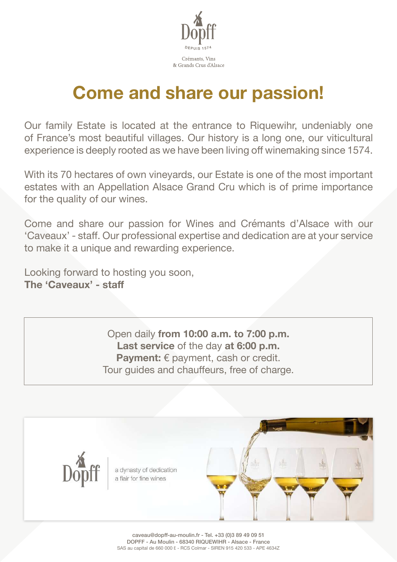

# **Come and share our passion!**

Our family Estate is located at the entrance to Riquewihr, undeniably one of France's most beautiful villages. Our history is a long one, our viticultural experience is deeply rooted as we have been living off winemaking since 1574.

With its 70 hectares of own vineyards, our Estate is one of the most important estates with an Appellation Alsace Grand Cru which is of prime importance for the quality of our wines.

Come and share our passion for Wines and Crémants d'Alsace with our 'Caveaux' - staff. Our professional expertise and dedication are at your service to make it a unique and rewarding experience.

Looking forward to hosting you soon, **The 'Caveaux' - staff**

> Open daily **from 10:00 a.m. to 7:00 p.m. Last service** of the day **at 6:00 p.m. Payment:** € payment, cash or credit. Tour guides and chauffeurs, free of charge.



a dynasty of dedication a flair for fine wines

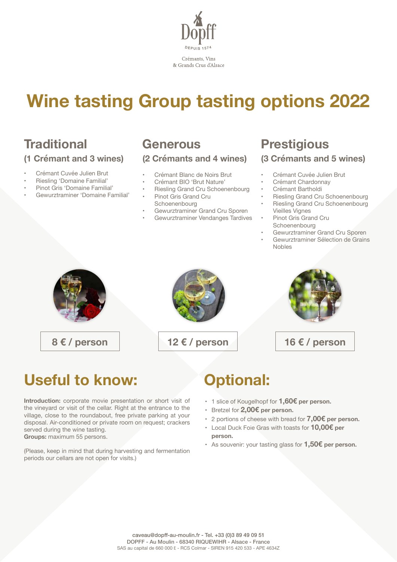

# **Wine tasting Group tasting options 2022**

# **Traditional**

## **(1 Crémant and 3 wines)**

- Crémant Cuvée Julien Brut
- Riesling 'Domaine Familial'
- Pinot Gris 'Domaine Familial'
- Gewurztraminer 'Domaine Familial'

## **Generous (2 Crémants and 4 wines)**

- Crémant Blanc de Noirs Brut
- Crémant BIO 'Brut Nature'
- Riesling Grand Cru Schoenenbourg
- Pinot Gris Grand Cru Schoenenbourg
- Gewurztraminer Grand Cru Sporen
- Gewurztraminer Vendanges Tardives

## **Prestigious (3 Crémants and 5 wines)**

### • Crémant Cuvée Julien Brut

- Crémant Chardonnay
- Crémant Bartholdi
- Riesling Grand Cru Schoenenbourg
- Riesling Grand Cru Schoenenbourg Vieilles Vignes
- Pinot Gris Grand Cru Schoenenbourg

Nobles

• Gewurztraminer Grand Cru Sporen • Gewurztraminer Sélection de Grains







**8 € / person 12 € / person 16 € / person**

## **Useful to know:**

**Introduction:** corporate movie presentation or short visit of the vineyard or visit of the cellar. Right at the entrance to the village, close to the roundabout, free private parking at your disposal. Air-conditioned or private room on request; crackers served during the wine tasting. **Groups:** maximum 55 persons.

(Please, keep in mind that during harvesting and fermentation periods our cellars are not open for visits.)

## **Optional:**

- 1 slice of Kougelhopf for **1,60€ per person.**
- Bretzel for **2,00€ per person.**
- 2 portions of cheese with bread for **7,00€ per person.**
- Local Duck Foie Gras with toasts for **10,00€ per person.**
- As souvenir: your tasting glass for **1,50€ per person.**